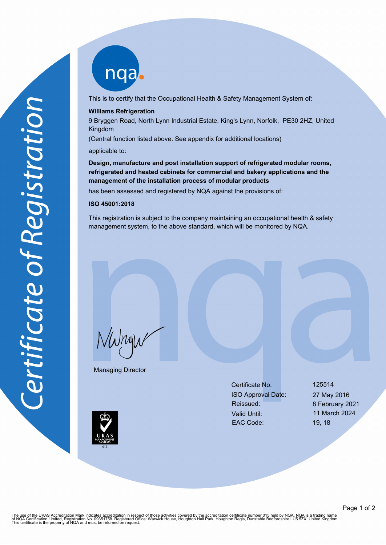nqab

This is to certify that the Occupational Health & Safety Management System of:

### **Williams Refrigeration**

9 Bryggen Road, North Lynn Industrial Estate, King's Lynn, Norfolk, PE30 2HZ, United Kingdom

(Central function listed above. See appendix for additional locations)

applicable to:

**Design, manufacture and post installation support of refrigerated modular rooms, refrigerated and heated cabinets for commercial and bakery applications and the management of the installation process of modular products**

has been assessed and registered by NQA against the provisions of:

# **ISO 45001:2018**

This registration is subject to the company maintaining an occupational health & safety management system, to the above standard, which will be monitored by NQA.

NWnyw

Managing Director

Certificate No. 125514 ISO Approval Date: 27 May 2016 Reissued: 8 February 2021 Valid Until: 11 March 2024 EAC Code: 19, 18